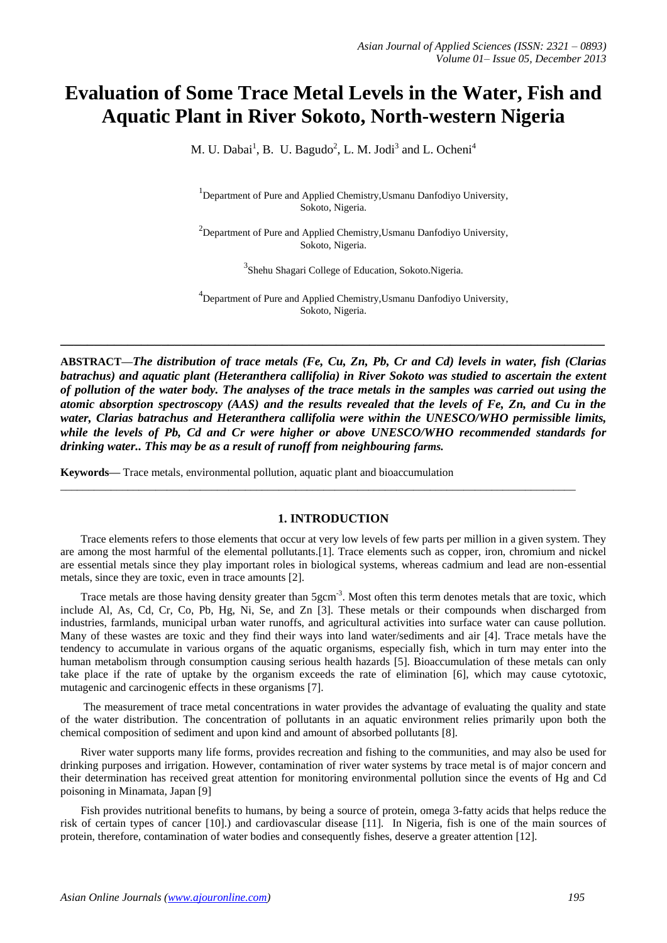# **Evaluation of Some Trace Metal Levels in the Water, Fish and Aquatic Plant in River Sokoto, North-western Nigeria**

M. U. Dabai<sup>1</sup>, B. U. Bagudo<sup>2</sup>, L. M. Jodi<sup>3</sup> and L. Ocheni<sup>4</sup>

<sup>1</sup>Department of Pure and Applied Chemistry, Usmanu Danfodiyo University, Sokoto, Nigeria.

 $2$ Department of Pure and Applied Chemistry, Usmanu Danfodiyo University, Sokoto, Nigeria.

<sup>3</sup> Shehu Shagari College of Education, Sokoto.Nigeria.

<sup>4</sup> Department of Pure and Applied Chemistry, Usmanu Danfodiyo University, Sokoto, Nigeria.

**ABSTRACT—***The distribution of trace metals (Fe, Cu, Zn, Pb, Cr and Cd) levels in water, fish (Clarias batrachus) and aquatic plant (Heteranthera callifolia) in River Sokoto was studied to ascertain the extent of pollution of the water body. The analyses of the trace metals in the samples was carried out using the atomic absorption spectroscopy (AAS) and the results revealed that the levels of Fe, Zn, and Cu in the water, Clarias batrachus and Heteranthera callifolia were within the UNESCO/WHO permissible limits, while the levels of Pb, Cd and Cr were higher or above UNESCO/WHO recommended standards for drinking water.. This may be as a result of runoff from neighbouring farms.*

**\_\_\_\_\_\_\_\_\_\_\_\_\_\_\_\_\_\_\_\_\_\_\_\_\_\_\_\_\_\_\_\_\_\_\_\_\_\_\_\_\_\_\_\_\_\_\_\_\_\_\_\_\_\_\_\_\_\_\_\_\_\_\_\_\_\_\_\_\_\_\_\_\_\_\_\_\_\_\_\_\_**

**Keywords—** Trace metals, environmental pollution, aquatic plant and bioaccumulation

#### **1. INTRODUCTION**

\_\_\_\_\_\_\_\_\_\_\_\_\_\_\_\_\_\_\_\_\_\_\_\_\_\_\_\_\_\_\_\_\_\_\_\_\_\_\_\_\_\_\_\_\_\_\_\_\_\_\_\_\_\_\_\_\_\_\_\_\_\_\_\_\_\_\_\_\_\_\_\_\_\_\_\_\_\_\_\_\_\_\_\_\_\_\_\_\_\_\_\_

Trace elements refers to those elements that occur at very low levels of few parts per million in a given system. They are among the most harmful of the elemental pollutants.[1]. Trace elements such as copper, iron, chromium and nickel are essential metals since they play important roles in biological systems, whereas cadmium and lead are non-essential metals, since they are toxic, even in trace amounts [2].

Trace metals are those having density greater than 5gcm<sup>-3</sup>. Most often this term denotes metals that are toxic, which include Al, As, Cd, Cr, Co, Pb, Hg, Ni, Se, and Zn [3]. These metals or their compounds when discharged from industries, farmlands, municipal urban water runoffs, and agricultural activities into surface water can cause pollution. Many of these wastes are toxic and they find their ways into land water/sediments and air [4]. Trace metals have the tendency to accumulate in various organs of the aquatic organisms, especially fish, which in turn may enter into the human metabolism through consumption causing serious health hazards [5]. Bioaccumulation of these metals can only take place if the rate of uptake by the organism exceeds the rate of elimination [6], which may cause cytotoxic, mutagenic and carcinogenic effects in these organisms [7].

The measurement of trace metal concentrations in water provides the advantage of evaluating the quality and state of the water distribution. The concentration of pollutants in an aquatic environment relies primarily upon both the chemical composition of sediment and upon kind and amount of absorbed pollutants [8].

River water supports many life forms, provides recreation and fishing to the communities, and may also be used for drinking purposes and irrigation. However, contamination of river water systems by trace metal is of major concern and their determination has received great attention for monitoring environmental pollution since the events of Hg and Cd poisoning in Minamata, Japan [9]

Fish provides nutritional benefits to humans, by being a source of protein, omega 3-fatty acids that helps reduce the risk of certain types of cancer [10].) and cardiovascular disease [11]. In Nigeria, fish is one of the main sources of protein, therefore, contamination of water bodies and consequently fishes, deserve a greater attention [12].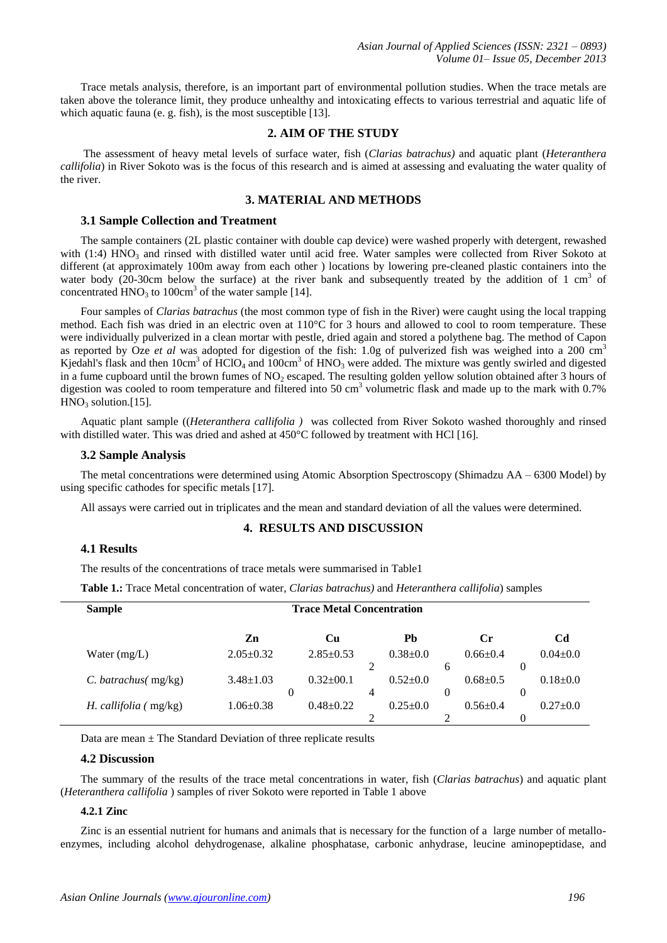Trace metals analysis, therefore, is an important part of environmental pollution studies. When the trace metals are taken above the tolerance limit, they produce unhealthy and intoxicating effects to various terrestrial and aquatic life of which aquatic fauna (e. g. fish), is the most susceptible [13].

# **2. AIM OF THE STUDY**

The assessment of heavy metal levels of surface water, fish (*Clarias batrachus)* and aquatic plant (*Heteranthera callifolia*) in River Sokoto was is the focus of this research and is aimed at assessing and evaluating the water quality of the river.

# **3. MATERIAL AND METHODS**

## **3.1 Sample Collection and Treatment**

The sample containers (2L plastic container with double cap device) were washed properly with detergent, rewashed with (1:4) HNO<sub>3</sub> and rinsed with distilled water until acid free. Water samples were collected from River Sokoto at different (at approximately 100m away from each other ) locations by lowering pre-cleaned plastic containers into the water body  $(20-30$ cm below the surface) at the river bank and subsequently treated by the addition of 1 cm<sup>3</sup> of concentrated  $HNO<sub>3</sub>$  to 100cm<sup>3</sup> of the water sample [14].

Four samples of *Clarias batrachus* (the most common type of fish in the River) were caught using the local trapping method. Each fish was dried in an electric oven at 110°C for 3 hours and allowed to cool to room temperature. These were individually pulverized in a clean mortar with pestle, dried again and stored a polythene bag. The method of Capon as reported by Oze *et al* was adopted for digestion of the fish: 1.0g of pulverized fish was weighed into a 200 cm<sup>3</sup> Kjedahl's flask and then  $10cm^3$  of  $\text{HClO}_4$  and  $100cm^3$  of  $\text{HNO}_3$  were added. The mixture was gently swirled and digested in a fume cupboard until the brown fumes of  $NO<sub>2</sub>$  escaped. The resulting golden yellow solution obtained after 3 hours of digestion was cooled to room temperature and filtered into 50 cm<sup>3</sup> volumetric flask and made up to the mark with 0.7%  $HNO<sub>3</sub>$  solution.[15].

Aquatic plant sample ((*Heteranthera callifolia )* was collected from River Sokoto washed thoroughly and rinsed with distilled water. This was dried and ashed at 450°C followed by treatment with HCl [16].

#### **3.2 Sample Analysis**

The metal concentrations were determined using Atomic Absorption Spectroscopy (Shimadzu AA – 6300 Model) by using specific cathodes for specific metals [17].

All assays were carried out in triplicates and the mean and standard deviation of all the values were determined.

## **4. RESULTS AND DISCUSSION**

# **4.1 Results**

The results of the concentrations of trace metals were summarised in Table1

**Table 1.:** Trace Metal concentration of water, *Clarias batrachus)* and *Heteranthera callifolia*) samples

| <b>Sample</b>                  | <b>Trace Metal Concentration</b> |          |                 |   |            |   |                |          |                |
|--------------------------------|----------------------------------|----------|-----------------|---|------------|---|----------------|----------|----------------|
|                                | Zn                               |          | Cu              |   | Pb         |   | Cr             |          | Cd             |
| Water $(mg/L)$                 | $2.05 \pm 0.32$                  |          | $2.85 \pm 0.53$ |   | $0.38+0.0$ |   | $0.66 \pm 0.4$ |          | $0.04 \pm 0.0$ |
|                                |                                  |          |                 |   |            | 6 |                |          |                |
| $C.$ batrachus( mg/kg)         | $3.48 \pm 1.03$                  |          | $0.32 \pm 0.1$  |   | $0.52+0.0$ |   | $0.68 \pm 0.5$ |          | $0.18 \pm 0.0$ |
|                                |                                  | $\theta$ |                 | 4 |            | 0 |                | $\theta$ |                |
| <i>H. callifolia</i> $(mg/kg)$ | $1.06 \pm 0.38$                  |          | $0.48 \pm 0.22$ |   | $0.25+0.0$ |   | $0.56 \pm 0.4$ |          | $0.27+0.0$     |
|                                |                                  |          |                 |   |            |   |                |          |                |

Data are mean  $\pm$  The Standard Deviation of three replicate results

# **4.2 Discussion**

The summary of the results of the trace metal concentrations in water, fish (*Clarias batrachus*) and aquatic plant (*Heteranthera callifolia* ) samples of river Sokoto were reported in Table 1 above

## **4.2.1 Zinc**

Zinc is an essential nutrient for humans and animals that is necessary for the function of a large number of metalloenzymes, including alcohol dehydrogenase, alkaline phosphatase, carbonic anhydrase, leucine aminopeptidase, and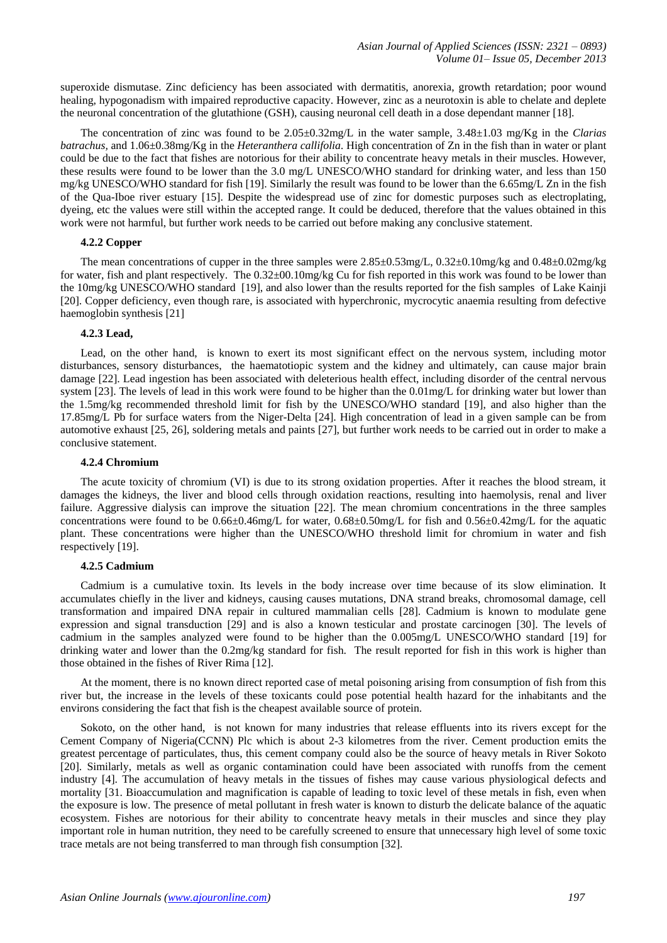superoxide dismutase. Zinc deficiency has been associated with dermatitis, anorexia, growth retardation; poor wound healing, hypogonadism with impaired reproductive capacity. However, zinc as a neurotoxin is able to chelate and deplete the neuronal concentration of the glutathione (GSH), causing neuronal cell death in a dose dependant manner [18].

The concentration of zinc was found to be 2.05±0.32mg/L in the water sample, 3.48±1.03 mg/Kg in the *Clarias batrachus,* and 1.06±0.38mg/Kg in the *Heteranthera callifolia.* High concentration of Zn in the fish than in water or plant could be due to the fact that fishes are notorious for their ability to concentrate heavy metals in their muscles. However, these results were found to be lower than the 3.0 mg/L UNESCO/WHO standard for drinking water, and less than 150 mg/kg UNESCO/WHO standard for fish [19]. Similarly the result was found to be lower than the 6.65mg/L Zn in the fish of the Qua-Iboe river estuary [15]. Despite the widespread use of zinc for domestic purposes such as electroplating, dyeing, etc the values were still within the accepted range. It could be deduced, therefore that the values obtained in this work were not harmful, but further work needs to be carried out before making any conclusive statement.

## **4.2.2 Copper**

The mean concentrations of cupper in the three samples were 2.85±0.53mg/L, 0.32±0.10mg/kg and 0.48±0.02mg/kg for water, fish and plant respectively. The  $0.32\pm00.10$  mg/kg Cu for fish reported in this work was found to be lower than the 10mg/kg UNESCO/WHO standard [19], and also lower than the results reported for the fish samples of Lake Kainji [20]. Copper deficiency, even though rare, is associated with hyperchronic, mycrocytic anaemia resulting from defective haemoglobin synthesis [21]

## **4.2.3 Lead,**

Lead, on the other hand, is known to exert its most significant effect on the nervous system, including motor disturbances, sensory disturbances, the haematotiopic system and the kidney and ultimately, can cause major brain damage [22]. Lead ingestion has been associated with deleterious health effect, including disorder of the central nervous system [23]. The levels of lead in this work were found to be higher than the 0.01mg/L for drinking water but lower than the 1.5mg/kg recommended threshold limit for fish by the UNESCO/WHO standard [19], and also higher than the 17.85mg/L Pb for surface waters from the Niger-Delta [24]. High concentration of lead in a given sample can be from automotive exhaust [25, 26], soldering metals and paints [27], but further work needs to be carried out in order to make a conclusive statement.

## **4.2.4 Chromium**

The acute toxicity of chromium (VI) is due to its strong oxidation properties. After it reaches the blood stream, it damages the kidneys, the liver and blood cells through oxidation reactions, resulting into haemolysis, renal and liver failure. Aggressive dialysis can improve the situation [22]. The mean chromium concentrations in the three samples concentrations were found to be 0.66±0.46mg/L for water, 0.68±0.50mg/L for fish and 0.56±0.42mg/L for the aquatic plant. These concentrations were higher than the UNESCO/WHO threshold limit for chromium in water and fish respectively [19].

# **4.2.5 Cadmium**

Cadmium is a cumulative toxin. Its levels in the body increase over time because of its slow elimination. It accumulates chiefly in the liver and kidneys, causing causes mutations, DNA strand breaks, chromosomal damage, cell transformation and impaired DNA repair in cultured mammalian cells [28]. Cadmium is known to modulate gene expression and signal transduction [29] and is also a known testicular and prostate carcinogen [30]. The levels of cadmium in the samples analyzed were found to be higher than the 0.005mg/L UNESCO/WHO standard [19] for drinking water and lower than the 0.2mg/kg standard for fish. The result reported for fish in this work is higher than those obtained in the fishes of River Rima [12].

At the moment, there is no known direct reported case of metal poisoning arising from consumption of fish from this river but, the increase in the levels of these toxicants could pose potential health hazard for the inhabitants and the environs considering the fact that fish is the cheapest available source of protein.

Sokoto, on the other hand, is not known for many industries that release effluents into its rivers except for the Cement Company of Nigeria(CCNN) Plc which is about 2-3 kilometres from the river. Cement production emits the greatest percentage of particulates, thus, this cement company could also be the source of heavy metals in River Sokoto [20]. Similarly, metals as well as organic contamination could have been associated with runoffs from the cement industry [4]. The accumulation of heavy metals in the tissues of fishes may cause various physiological defects and mortality [31. Bioaccumulation and magnification is capable of leading to toxic level of these metals in fish, even when the exposure is low. The presence of metal pollutant in fresh water is known to disturb the delicate balance of the aquatic ecosystem. Fishes are notorious for their ability to concentrate heavy metals in their muscles and since they play important role in human nutrition, they need to be carefully screened to ensure that unnecessary high level of some toxic trace metals are not being transferred to man through fish consumption [32].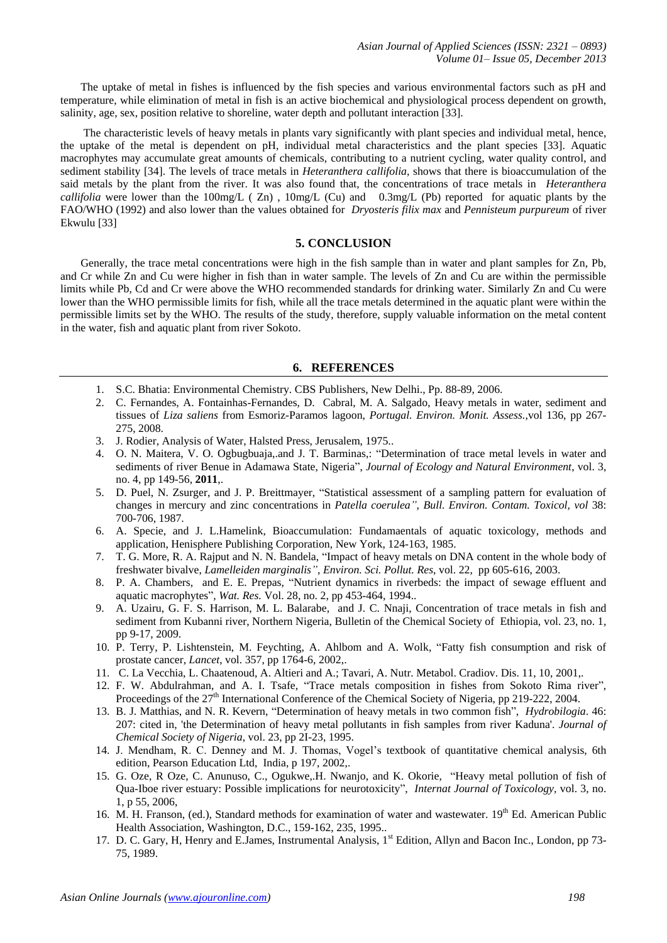The uptake of metal in fishes is influenced by the fish species and various environmental factors such as pH and temperature, while elimination of metal in fish is an active biochemical and physiological process dependent on growth, salinity, age, sex, position relative to shoreline, water depth and pollutant interaction [33].

The characteristic levels of heavy metals in plants vary significantly with plant species and individual metal, hence, the uptake of the metal is dependent on pH, individual metal characteristics and the plant species [33]. Aquatic macrophytes may accumulate great amounts of chemicals, contributing to a nutrient cycling, water quality control, and sediment stability [34]. The levels of trace metals in *Heteranthera callifolia,* shows that there is bioaccumulation of the said metals by the plant from the river. It was also found that, the concentrations of trace metals in *Heteranthera callifolia* were lower than the 100mg/L ( Zn), 10mg/L (Cu) and 0.3mg/L (Pb) reported for aquatic plants by the FAO/WHO (1992) and also lower than the values obtained for *Dryosteris filix max* and *Pennisteum purpureum* of river Ekwulu [33]

# **5. CONCLUSION**

Generally, the trace metal concentrations were high in the fish sample than in water and plant samples for Zn, Pb, and Cr while Zn and Cu were higher in fish than in water sample. The levels of Zn and Cu are within the permissible limits while Pb, Cd and Cr were above the WHO recommended standards for drinking water. Similarly Zn and Cu were lower than the WHO permissible limits for fish, while all the trace metals determined in the aquatic plant were within the permissible limits set by the WHO. The results of the study, therefore, supply valuable information on the metal content in the water, fish and aquatic plant from river Sokoto.

## **6. REFERENCES**

- 1. S.C. Bhatia: Environmental Chemistry. CBS Publishers, New Delhi., Pp. 88-89, 2006.
- 2. C. Fernandes, A. Fontainhas-Fernandes, D. Cabral, M. A. Salgado, Heavy metals in water, sediment and tissues of *Liza saliens* from Esmoriz-Paramos lagoon, *Portugal. Environ. Monit. Assess.*,vol 136, pp 267- 275, 2008.
- 3. J. Rodier, Analysis of Water, Halsted Press, Jerusalem, 1975..
- 4. O. N. Maitera, V. O. Ogbugbuaja,.and J. T. Barminas,: "Determination of trace metal levels in water and sediments of river Benue in Adamawa State, Nigeria", *Journal of Ecology and Natural Environment*, vol. 3, no. 4, pp 149-56, **2011**,.
- 5. D. Puel, N. Zsurger, and J. P. Breittmayer, "Statistical assessment of a sampling pattern for evaluation of changes in mercury and zinc concentrations in *Patella coerulea"*, *Bull. Environ. Contam. Toxicol, vol* 38: 700-706, 1987.
- 6. A. Specie, and J. L.Hamelink, Bioaccumulation: Fundamaentals of aquatic toxicology, methods and application, Henisphere Publishing Corporation, New York, 124-163, 1985.
- 7. T. G. More, R. A. Rajput and N. N. Bandela, "Impact of heavy metals on DNA content in the whole body of freshwater bivalve, *Lamelleiden marginalis"*, *Environ. Sci. Pollut. Res*, vol. 22, pp 605-616, 2003.
- 8. P. A. Chambers, and E. E. Prepas, "Nutrient dynamics in riverbeds: the impact of sewage effluent and aquatic macrophytes", *Wat. Res.* Vol. 28, no. 2, pp 453-464, 1994..
- 9. A. Uzairu, G. F. S. Harrison, M. L. Balarabe, and J. C. Nnaji, Concentration of trace metals in fish and sediment from Kubanni river, Northern Nigeria, Bulletin of the Chemical Society of Ethiopia, vol. 23, no. 1, pp 9-17, 2009.
- 10. P. Terry, P. Lishtenstein, M. Feychting, A. Ahlbom and A. Wolk, "Fatty fish consumption and risk of prostate cancer, *Lancet*, vol. 357, pp 1764-6, 2002,.
- 11. C. La Vecchia, L. Chaatenoud, A. Altieri and A.; Tavari, A. Nutr. Metabol. Cradiov. Dis. 11, 10, 2001,.
- 12. F. W. Abdulrahman, and A. I. Tsafe, "Trace metals composition in fishes from Sokoto Rima river", Proceedings of the 27<sup>th</sup> International Conference of the Chemical Society of Nigeria, pp 219-222, 2004.
- 13. B. J. Matthias, and N. R. Kevern, "Determination of heavy metals in two common fish", *Hydrobilogia*. 46: 207: cited in, 'the Determination of heavy metal pollutants in fish samples from river Kaduna'. *Journal of Chemical Society of Nigeria*, vol. 23, pp 2I-23, 1995.
- 14. J. Mendham, R. C. Denney and M. J. Thomas, Vogel's textbook of quantitative chemical analysis, 6th edition, Pearson Education Ltd, India, p 197, 2002,.
- 15. G. Oze, R Oze, C. Anunuso, C., Ogukwe,.H. Nwanjo, and K. Okorie, "Heavy metal pollution of fish of Qua-Iboe river estuary: Possible implications for neurotoxicity", *Internat Journal of Toxicology,* vol. 3, no. 1, p 55, 2006,
- 16. M. H. Franson, (ed.), Standard methods for examination of water and wastewater. 19<sup>th</sup> Ed. American Public Health Association, Washington, D.C., 159-162, 235, 1995..
- 17. D. C. Gary, H, Henry and E.James, Instrumental Analysis, 1<sup>st</sup> Edition, Allyn and Bacon Inc., London, pp 73-75, 1989.